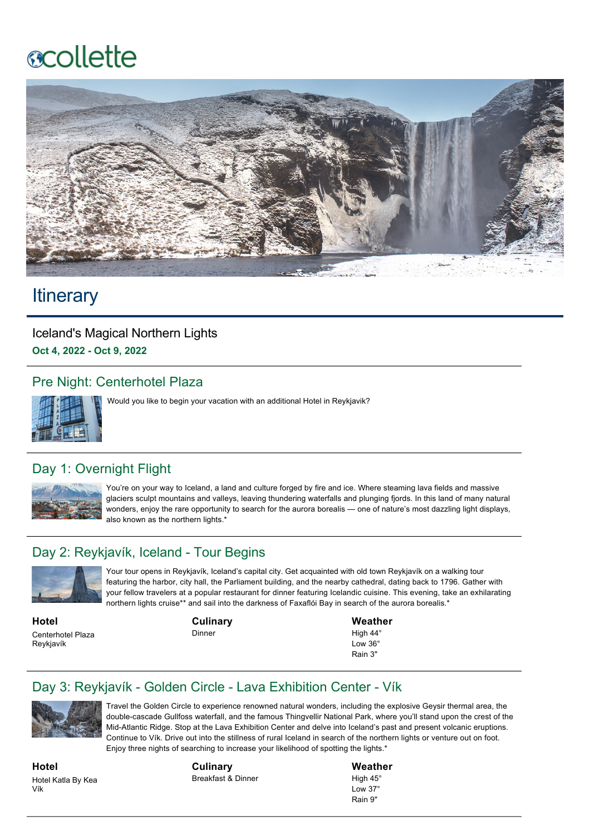# **ecollette**



# **Itinerary**

#### Iceland's Magical Northern Lights Oct 4, 2022 - Oct 9, 2022

#### Pre Night: Centerhotel Plaza



Would you like to begin your vacation with an additional Hotel in Reykjavik?

# Day 1: Overnight Flight



You're on your way to Iceland, a land and culture forged by fire and ice. Where steaming lava fields and massive glaciers sculpt mountains and valleys, leaving thundering waterfalls and plunging fjords. In this land of many natural wonders, enjoy the rare opportunity to search for the aurora borealis — one of nature's most dazzling light displays, also known as the northern lights.\*

# Day 2: Reykjavík, Iceland - Tour Begins



Your tour opens in Reykjavík, Iceland's capital city. Get acquainted with old town Reykjavík on a walking tour featuring the harbor, city hall, the Parliament building, and the nearby cathedral, dating back to 1796. Gather with your fellow travelers at a popular restaurant for dinner featuring Icelandic cuisine. This evening, take an exhilarating northern lights cruise\*\* and sail into the darkness of Faxaflói Bay in search of the aurora borealis.\*

**Hotel** Centerhotel Plaza Reykjavík

**Culinary** Dinner

**Weather**

High 44° Low 36° Rain 3"

# Day 3: Reykjavík - Golden Circle - Lava Exhibition Center - Vík



Travel the Golden Circle to experience renowned natural wonders, including the explosive Geysir thermal area, the double-cascade Gullfoss waterfall, and the famous Thingvellir National Park, where you'll stand upon the crest of the Mid-Atlantic Ridge. Stop at the Lava Exhibition Center and delve into Iceland's past and present volcanic eruptions. Continue to Vík. Drive out into the stillness of rural Iceland in search of the northern lights or venture out on foot. Enjoy three nights of searching to increase your likelihood of spotting the lights.\*

**Hotel** Hotel Katla By Kea Vík

**Culinary** Breakfast & Dinner

**Weather** High 45°  $Low 37°$ Rain 9"